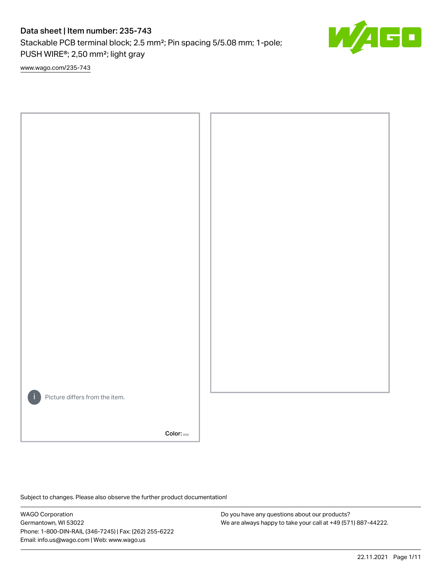# Data sheet | Item number: 235-743

Stackable PCB terminal block; 2.5 mm²; Pin spacing 5/5.08 mm; 1-pole; PUSH WIRE®; 2,50 mm²; light gray

[www.wago.com/235-743](http://www.wago.com/235-743)



Color:

Subject to changes. Please also observe the further product documentation!

WAGO Corporation Germantown, WI 53022 Phone: 1-800-DIN-RAIL (346-7245) | Fax: (262) 255-6222 Email: info.us@wago.com | Web: www.wago.us

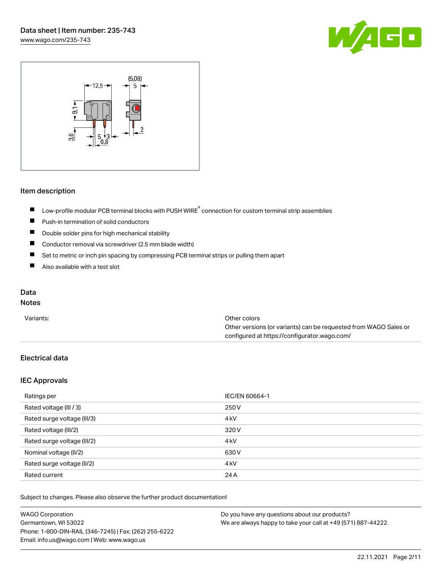



#### Item description

- Low-profile modular PCB terminal blocks with PUSH WIRE<sup>®</sup> connection for custom terminal strip assemblies  $\blacksquare$
- $\blacksquare$ Push-in termination of solid conductors
- $\blacksquare$ Double solder pins for high mechanical stability
- $\blacksquare$ Conductor removal via screwdriver (2.5 mm blade width)
- $\blacksquare$ Set to metric or inch pin spacing by compressing PCB terminal strips or pulling them apart
- $\blacksquare$ Also available with a test slot

## Data

# Notes

| Variants: | Other colors                                                     |
|-----------|------------------------------------------------------------------|
|           | Other versions (or variants) can be requested from WAGO Sales or |
|           | configured at https://configurator.wago.com/                     |

# Electrical data

#### IEC Approvals

| Ratings per                 | IEC/EN 60664-1   |
|-----------------------------|------------------|
| Rated voltage (III / 3)     | 250 V            |
| Rated surge voltage (III/3) | 4 <sub>k</sub> V |
| Rated voltage (III/2)       | 320 V            |
| Rated surge voltage (III/2) | 4 <sub>k</sub> V |
| Nominal voltage (II/2)      | 630 V            |
| Rated surge voltage (II/2)  | 4 <sub>k</sub> V |
| Rated current               | 24 A             |

| <b>WAGO Corporation</b>                                | Do you have any questions about our products?                 |
|--------------------------------------------------------|---------------------------------------------------------------|
| Germantown, WI 53022                                   | We are always happy to take your call at +49 (571) 887-44222. |
| Phone: 1-800-DIN-RAIL (346-7245)   Fax: (262) 255-6222 |                                                               |
| Email: info.us@wago.com   Web: www.wago.us             |                                                               |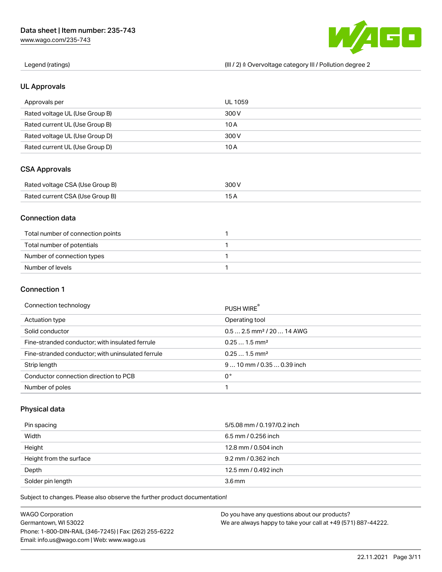[www.wago.com/235-743](http://www.wago.com/235-743)



Legend (ratings) (III / 2) ≙ Overvoltage category III / Pollution degree 2

#### UL Approvals

| Approvals per                  | UL 1059 |
|--------------------------------|---------|
| Rated voltage UL (Use Group B) | 300 V   |
| Rated current UL (Use Group B) | 10 A    |
| Rated voltage UL (Use Group D) | 300 V   |
| Rated current UL (Use Group D) | 10 A    |

#### CSA Approvals

| Rated voltage CSA (Use Group B) | 300 V |
|---------------------------------|-------|
| Rated current CSA (Use Group B) |       |

#### Connection data

| Total number of connection points |  |
|-----------------------------------|--|
| Total number of potentials        |  |
| Number of connection types        |  |
| Number of levels                  |  |

#### Connection 1

| Connection technology                             | PUSH WIRE®                             |
|---------------------------------------------------|----------------------------------------|
| Actuation type                                    | Operating tool                         |
| Solid conductor                                   | $0.5$ 2.5 mm <sup>2</sup> / 20  14 AWG |
| Fine-stranded conductor; with insulated ferrule   | $0.251.5$ mm <sup>2</sup>              |
| Fine-stranded conductor; with uninsulated ferrule | $0.251.5$ mm <sup>2</sup>              |
| Strip length                                      | $910$ mm / 0.35  0.39 inch             |
| Conductor connection direction to PCB             | 0°                                     |
| Number of poles                                   |                                        |

# Physical data

| Pin spacing             | 5/5.08 mm / 0.197/0.2 inch |
|-------------------------|----------------------------|
| Width                   | $6.5$ mm / 0.256 inch      |
| Height                  | 12.8 mm / 0.504 inch       |
| Height from the surface | 9.2 mm / 0.362 inch        |
| Depth                   | 12.5 mm / 0.492 inch       |
| Solder pin length       | 3.6 <sub>mm</sub>          |

| <b>WAGO Corporation</b>                                | Do you have any questions about our products?                 |
|--------------------------------------------------------|---------------------------------------------------------------|
| Germantown, WI 53022                                   | We are always happy to take your call at +49 (571) 887-44222. |
| Phone: 1-800-DIN-RAIL (346-7245)   Fax: (262) 255-6222 |                                                               |
| Email: info.us@wago.com   Web: www.wago.us             |                                                               |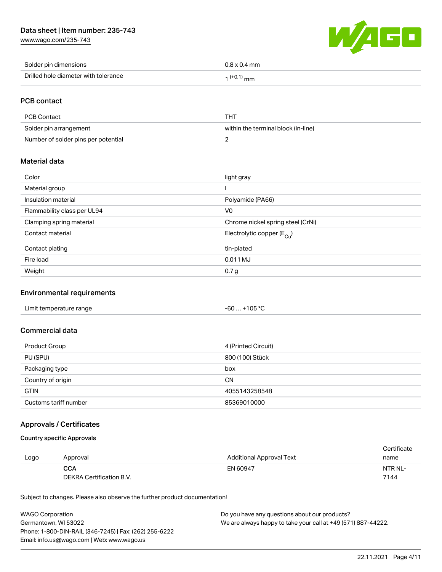# Data sheet | Item number: 235-743

[www.wago.com/235-743](http://www.wago.com/235-743)



| Solder pin dimensions                | $0.8 \times 0.4$ mm |
|--------------------------------------|---------------------|
| Drilled hole diameter with tolerance | $1^{(+0.1)}$ mm     |

# PCB contact

| PCB Contact                         | THT                                 |
|-------------------------------------|-------------------------------------|
| Solder pin arrangement              | within the terminal block (in-line) |
| Number of solder pins per potential |                                     |

#### Material data

| Color                       | light gray                            |
|-----------------------------|---------------------------------------|
| Material group              |                                       |
| Insulation material         | Polyamide (PA66)                      |
| Flammability class per UL94 | V <sub>0</sub>                        |
| Clamping spring material    | Chrome nickel spring steel (CrNi)     |
| Contact material            | Electrolytic copper $(E_{\text{Cl}})$ |
| Contact plating             | tin-plated                            |
| Fire load                   | 0.011 MJ                              |
| Weight                      | 0.7 <sub>g</sub>                      |

#### Environmental requirements

| Limit temperature range | $-60+105 °C$ |
|-------------------------|--------------|
|-------------------------|--------------|

#### Commercial data

| Product Group         | 4 (Printed Circuit) |
|-----------------------|---------------------|
| PU (SPU)              | 800 (100) Stück     |
| Packaging type        | box                 |
| Country of origin     | <b>CN</b>           |
| <b>GTIN</b>           | 4055143258548       |
| Customs tariff number | 85369010000         |

## Approvals / Certificates

#### Country specific Approvals

|      |                          |                          | Certificate |
|------|--------------------------|--------------------------|-------------|
| Logo | Approval                 | Additional Approval Text | name        |
|      | <b>CCA</b>               | EN 60947                 | NTR NL-     |
|      | DEKRA Certification B.V. |                          | 7144        |

| <b>WAGO Corporation</b>                                | Do you have any questions about our products?                 |
|--------------------------------------------------------|---------------------------------------------------------------|
| Germantown, WI 53022                                   | We are always happy to take your call at +49 (571) 887-44222. |
| Phone: 1-800-DIN-RAIL (346-7245)   Fax: (262) 255-6222 |                                                               |
| Email: info.us@wago.com   Web: www.wago.us             |                                                               |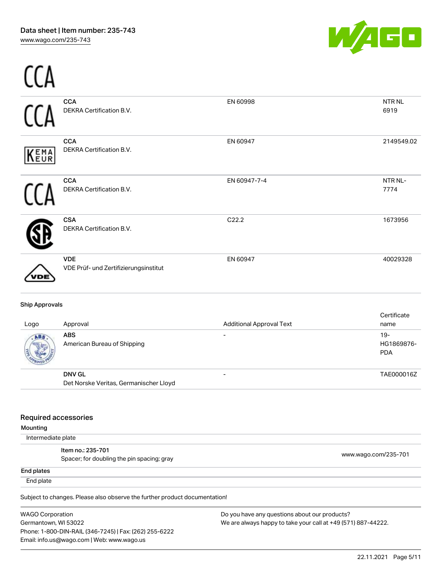

|                       | CCA<br>DEKRA Certification B.V.                         | EN 60998                        | NTR <sub>NL</sub><br>6919          |
|-----------------------|---------------------------------------------------------|---------------------------------|------------------------------------|
| KEMA                  | <b>CCA</b><br>DEKRA Certification B.V.                  | EN 60947                        | 2149549.02                         |
|                       | <b>CCA</b><br>DEKRA Certification B.V.                  | EN 60947-7-4                    | NTR NL-<br>7774                    |
|                       | <b>CSA</b><br>DEKRA Certification B.V.                  | C22.2                           | 1673956                            |
|                       | <b>VDE</b><br>VDE Prüf- und Zertifizierungsinstitut     | EN 60947                        | 40029328                           |
| <b>Ship Approvals</b> |                                                         |                                 | Certificate                        |
| Logo                  | Approval                                                | <b>Additional Approval Text</b> | name                               |
| ABS                   | <b>ABS</b><br>American Bureau of Shipping               |                                 | $19 -$<br>HG1869876-<br><b>PDA</b> |
|                       | <b>DNV GL</b><br>Det Norske Veritas, Germanischer Lloyd | $\overline{a}$                  | TAE000016Z                         |

#### Required accessories

Mounting

Intermediate plate

Item no.: 235-701 nen no... 233-701<br>Spacer; for doubling the pin spacing; gray [www.wago.com/235-701](http://www.wago.com/235-701)

End plates

End plate

Subject to changes. Please also observe the further product documentation!

WAGO Corporation Germantown, WI 53022 Phone: 1-800-DIN-RAIL (346-7245) | Fax: (262) 255-6222 Email: info.us@wago.com | Web: www.wago.us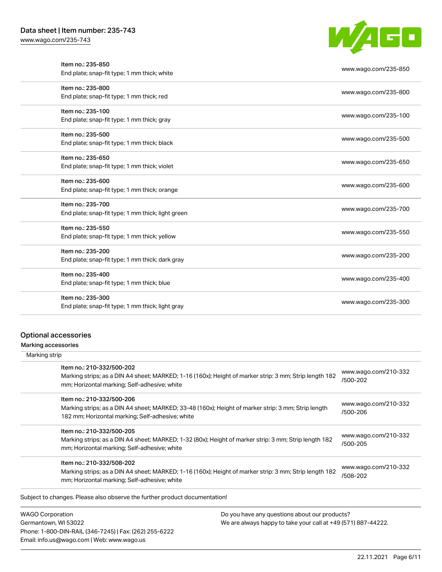[www.wago.com/235-743](http://www.wago.com/235-743)



| www.wago.com/235-850 |
|----------------------|
| www.wago.com/235-800 |
|                      |
| www.wago.com/235-100 |
|                      |
|                      |
| www.wago.com/235-500 |
|                      |
| www.wago.com/235-650 |
|                      |
| www.wago.com/235-600 |
| www.wago.com/235-700 |
|                      |
|                      |
| www.wago.com/235-550 |
|                      |
| www.wago.com/235-200 |
|                      |
| www.wago.com/235-400 |
|                      |
| www.wago.com/235-300 |
|                      |

# Optional accessories

Marking accessories

| Item no.: 210-332/500-202<br>Marking strips; as a DIN A4 sheet; MARKED; 1-16 (160x); Height of marker strip: 3 mm; Strip length 182<br>mm; Horizontal marking; Self-adhesive; white  | www.wago.com/210-332<br>/500-202 |
|--------------------------------------------------------------------------------------------------------------------------------------------------------------------------------------|----------------------------------|
| Item no.: 210-332/500-206<br>Marking strips; as a DIN A4 sheet; MARKED; 33-48 (160x); Height of marker strip: 3 mm; Strip length<br>182 mm; Horizontal marking; Self-adhesive; white | www.wago.com/210-332<br>/500-206 |
| Item no.: 210-332/500-205<br>Marking strips; as a DIN A4 sheet; MARKED; 1-32 (80x); Height of marker strip: 3 mm; Strip length 182<br>mm; Horizontal marking; Self-adhesive; white   | www.wago.com/210-332<br>/500-205 |
| Item no.: 210-332/508-202<br>Marking strips; as a DIN A4 sheet; MARKED; 1-16 (160x); Height of marker strip: 3 mm; Strip length 182<br>mm; Horizontal marking; Self-adhesive; white  | www.wago.com/210-332<br>/508-202 |

WAGO Corporation Germantown, WI 53022 Phone: 1-800-DIN-RAIL (346-7245) | Fax: (262) 255-6222 Email: info.us@wago.com | Web: www.wago.us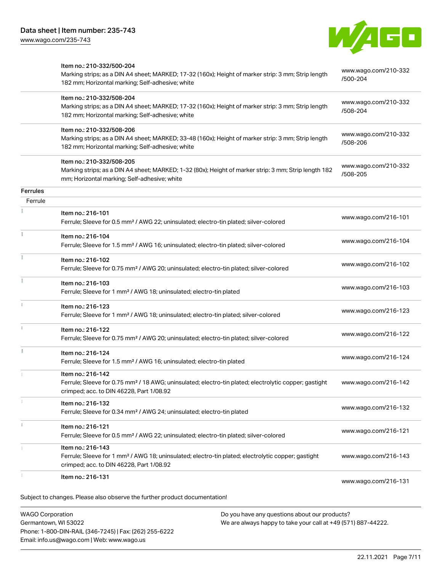

| $MAPO$ Carnoration | Do vou bavo any questione about our producte?                                                                                                                                        |                                  |
|--------------------|--------------------------------------------------------------------------------------------------------------------------------------------------------------------------------------|----------------------------------|
|                    | Subject to changes. Please also observe the further product documentation!                                                                                                           | www.wago.com/216-131             |
|                    | Ferrule; Sleeve for 1 mm <sup>2</sup> / AWG 18; uninsulated; electro-tin plated; electrolytic copper; gastight<br>crimped; acc. to DIN 46228, Part 1/08.92<br>Item no.: 216-131      | www.wago.com/216-143             |
|                    | Ferrule; Sleeve for 0.5 mm <sup>2</sup> / AWG 22; uninsulated; electro-tin plated; silver-colored<br>Item no.: 216-143                                                               | www.wago.com/216-121             |
|                    | Ferrule; Sleeve for 0.34 mm <sup>2</sup> / AWG 24; uninsulated; electro-tin plated<br>Item no.: 216-121                                                                              |                                  |
|                    | Item no.: 216-132                                                                                                                                                                    | www.wago.com/216-132             |
|                    | Item no.: 216-142<br>Ferrule; Sleeve for 0.75 mm <sup>2</sup> / 18 AWG; uninsulated; electro-tin plated; electrolytic copper; gastight<br>crimped; acc. to DIN 46228, Part 1/08.92   | www.wago.com/216-142             |
| I.                 | Item no.: 216-124<br>Ferrule; Sleeve for 1.5 mm <sup>2</sup> / AWG 16; uninsulated; electro-tin plated                                                                               | www.wago.com/216-124             |
|                    | Item no.: 216-122<br>Ferrule; Sleeve for 0.75 mm <sup>2</sup> / AWG 20; uninsulated; electro-tin plated; silver-colored                                                              | www.wago.com/216-122             |
|                    | Item no.: 216-123<br>Ferrule; Sleeve for 1 mm <sup>2</sup> / AWG 18; uninsulated; electro-tin plated; silver-colored                                                                 | www.wago.com/216-123             |
|                    | Item no.: 216-103<br>Ferrule; Sleeve for 1 mm <sup>2</sup> / AWG 18; uninsulated; electro-tin plated                                                                                 | www.wago.com/216-103             |
|                    | Item no.: 216-102<br>Ferrule; Sleeve for 0.75 mm <sup>2</sup> / AWG 20; uninsulated; electro-tin plated; silver-colored                                                              | www.wago.com/216-102             |
|                    | Item no.: 216-104<br>Ferrule; Sleeve for 1.5 mm <sup>2</sup> / AWG 16; uninsulated; electro-tin plated; silver-colored                                                               | www.wago.com/216-104             |
|                    | Item no.: 216-101<br>Ferrule; Sleeve for 0.5 mm <sup>2</sup> / AWG 22; uninsulated; electro-tin plated; silver-colored                                                               | www.wago.com/216-101             |
| Ferrule            |                                                                                                                                                                                      |                                  |
| <b>Ferrules</b>    |                                                                                                                                                                                      |                                  |
|                    | Item no.: 210-332/508-205<br>Marking strips; as a DIN A4 sheet; MARKED; 1-32 (80x); Height of marker strip: 3 mm; Strip length 182<br>mm; Horizontal marking; Self-adhesive; white   | www.wago.com/210-332<br>/508-205 |
|                    | Item no.: 210-332/508-206<br>Marking strips; as a DIN A4 sheet; MARKED; 33-48 (160x); Height of marker strip: 3 mm; Strip length<br>182 mm; Horizontal marking; Self-adhesive; white | www.wago.com/210-332<br>/508-206 |
|                    | Item no.: 210-332/508-204<br>Marking strips; as a DIN A4 sheet; MARKED; 17-32 (160x); Height of marker strip: 3 mm; Strip length<br>182 mm; Horizontal marking; Self-adhesive; white | www.wago.com/210-332<br>/508-204 |
|                    | Marking strips; as a DIN A4 sheet; MARKED; 17-32 (160x); Height of marker strip: 3 mm; Strip length<br>182 mm; Horizontal marking; Self-adhesive; white                              | www.wago.com/210-332<br>/500-204 |
|                    | Item no.: 210-332/500-204                                                                                                                                                            |                                  |

WAGO Corporation Germantown, WI 53022 Phone: 1-800-DIN-RAIL (346-7245) | Fax: (262) 255-6222 Email: info.us@wago.com | Web: www.wago.us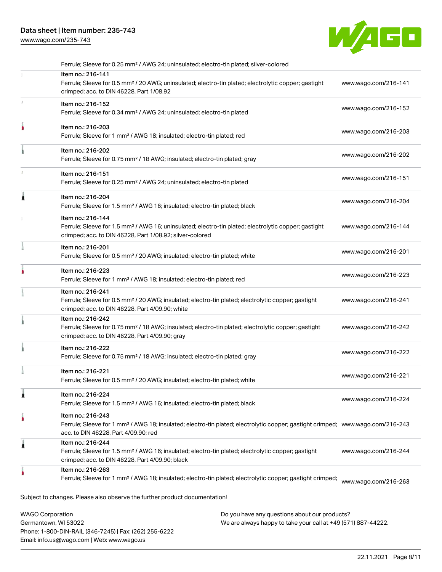# Data sheet | Item number: 235-743

[www.wago.com/235-743](http://www.wago.com/235-743)



|    | Ferrule; Sleeve for 0.25 mm <sup>2</sup> / AWG 24; uninsulated; electro-tin plated; silver-colored                                                                                                      |                      |
|----|---------------------------------------------------------------------------------------------------------------------------------------------------------------------------------------------------------|----------------------|
|    | Item no.: 216-141<br>Ferrule; Sleeve for 0.5 mm <sup>2</sup> / 20 AWG; uninsulated; electro-tin plated; electrolytic copper; gastight<br>crimped; acc. to DIN 46228, Part 1/08.92                       | www.wago.com/216-141 |
| s. | Item no.: 216-152<br>Ferrule; Sleeve for 0.34 mm <sup>2</sup> / AWG 24; uninsulated; electro-tin plated                                                                                                 | www.wago.com/216-152 |
|    | Item no.: 216-203<br>Ferrule; Sleeve for 1 mm <sup>2</sup> / AWG 18; insulated; electro-tin plated; red                                                                                                 | www.wago.com/216-203 |
|    | Item no.: 216-202<br>Ferrule; Sleeve for 0.75 mm <sup>2</sup> / 18 AWG; insulated; electro-tin plated; gray                                                                                             | www.wago.com/216-202 |
|    | Item no.: 216-151<br>Ferrule; Sleeve for 0.25 mm <sup>2</sup> / AWG 24; uninsulated; electro-tin plated                                                                                                 | www.wago.com/216-151 |
| ٨  | Item no.: 216-204<br>Ferrule; Sleeve for 1.5 mm <sup>2</sup> / AWG 16; insulated; electro-tin plated; black                                                                                             | www.wago.com/216-204 |
|    | Item no.: 216-144<br>Ferrule; Sleeve for 1.5 mm <sup>2</sup> / AWG 16; uninsulated; electro-tin plated; electrolytic copper; gastight<br>crimped; acc. to DIN 46228, Part 1/08.92; silver-colored       | www.wago.com/216-144 |
|    | Item no.: 216-201<br>Ferrule; Sleeve for 0.5 mm <sup>2</sup> / 20 AWG; insulated; electro-tin plated; white                                                                                             | www.wago.com/216-201 |
|    | Item no.: 216-223<br>Ferrule; Sleeve for 1 mm <sup>2</sup> / AWG 18; insulated; electro-tin plated; red                                                                                                 | www.wago.com/216-223 |
|    | Item no.: 216-241<br>Ferrule; Sleeve for 0.5 mm <sup>2</sup> / 20 AWG; insulated; electro-tin plated; electrolytic copper; gastight<br>crimped; acc. to DIN 46228, Part 4/09.90; white                  | www.wago.com/216-241 |
|    | Item no.: 216-242<br>Ferrule; Sleeve for 0.75 mm <sup>2</sup> / 18 AWG; insulated; electro-tin plated; electrolytic copper; gastight<br>crimped; acc. to DIN 46228, Part 4/09.90; gray                  | www.wago.com/216-242 |
|    | Item no.: 216-222<br>Ferrule; Sleeve for 0.75 mm <sup>2</sup> / 18 AWG; insulated; electro-tin plated; gray                                                                                             | www.wago.com/216-222 |
|    | Item no.: 216-221<br>Ferrule; Sleeve for 0.5 mm <sup>2</sup> / 20 AWG; insulated; electro-tin plated; white                                                                                             | www.wago.com/216-221 |
| 1  | Item no.: 216-224<br>Ferrule; Sleeve for 1.5 mm <sup>2</sup> / AWG 16; insulated; electro-tin plated; black                                                                                             | www.wago.com/216-224 |
|    | Item no.: 216-243<br>Ferrule; Sleeve for 1 mm <sup>2</sup> / AWG 18; insulated; electro-tin plated; electrolytic copper; gastight crimped; www.wago.com/216-243<br>acc. to DIN 46228, Part 4/09.90; red |                      |
| 1  | Item no.: 216-244<br>Ferrule; Sleeve for 1.5 mm <sup>2</sup> / AWG 16; insulated; electro-tin plated; electrolytic copper; gastight<br>crimped; acc. to DIN 46228, Part 4/09.90; black                  | www.wago.com/216-244 |
|    |                                                                                                                                                                                                         |                      |

WAGO Corporation Germantown, WI 53022 Phone: 1-800-DIN-RAIL (346-7245) | Fax: (262) 255-6222 Email: info.us@wago.com | Web: www.wago.us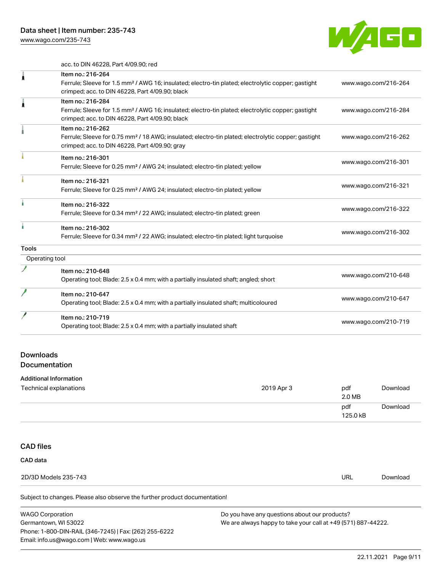[www.wago.com/235-743](http://www.wago.com/235-743)



acc. to DIN 46228, Part 4/09.90; red

| ı              | Item no.: 216-264                                                                                               |                      |
|----------------|-----------------------------------------------------------------------------------------------------------------|----------------------|
|                | Ferrule; Sleeve for 1.5 mm <sup>2</sup> / AWG 16; insulated; electro-tin plated; electrolytic copper; gastight  | www.wago.com/216-264 |
|                | crimped; acc. to DIN 46228, Part 4/09.90; black                                                                 |                      |
| ì              | Item no.: 216-284                                                                                               |                      |
|                | Ferrule; Sleeve for 1.5 mm <sup>2</sup> / AWG 16; insulated; electro-tin plated; electrolytic copper; gastight  | www.wago.com/216-284 |
|                | crimped; acc. to DIN 46228, Part 4/09.90; black                                                                 |                      |
|                | Item no.: 216-262                                                                                               |                      |
|                | Ferrule; Sleeve for 0.75 mm <sup>2</sup> / 18 AWG; insulated; electro-tin plated; electrolytic copper; gastight | www.wago.com/216-262 |
|                | crimped; acc. to DIN 46228, Part 4/09.90; gray                                                                  |                      |
|                | Item no.: 216-301                                                                                               |                      |
|                | Ferrule; Sleeve for 0.25 mm <sup>2</sup> / AWG 24; insulated; electro-tin plated; yellow                        | www.wago.com/216-301 |
|                | Item no.: 216-321                                                                                               |                      |
|                | Ferrule; Sleeve for 0.25 mm <sup>2</sup> / AWG 24; insulated; electro-tin plated; yellow                        | www.wago.com/216-321 |
| ì.             | Item no.: 216-322                                                                                               |                      |
|                | Ferrule; Sleeve for 0.34 mm <sup>2</sup> / 22 AWG; insulated; electro-tin plated; green                         | www.wago.com/216-322 |
| ٠              | Item no.: 216-302                                                                                               |                      |
|                | Ferrule; Sleeve for 0.34 mm <sup>2</sup> / 22 AWG; insulated; electro-tin plated; light turquoise               | www.wago.com/216-302 |
| Tools          |                                                                                                                 |                      |
| Operating tool |                                                                                                                 |                      |
|                | Item no.: 210-648                                                                                               |                      |
|                | Operating tool; Blade: 2.5 x 0.4 mm; with a partially insulated shaft; angled; short                            | www.wago.com/210-648 |
|                | Item no.: 210-647                                                                                               |                      |
|                | Operating tool; Blade: 2.5 x 0.4 mm; with a partially insulated shaft; multicoloured                            | www.wago.com/210-647 |
|                | Item no.: 210-719                                                                                               |                      |
|                | Operating tool; Blade: 2.5 x 0.4 mm; with a partially insulated shaft                                           | www.wago.com/210-719 |
|                |                                                                                                                 |                      |

# Downloads Documentation

### Additional Information

| .<br>Technical explanations | 2019 Apr 3 | pdf<br>2.0 MB   | Download |
|-----------------------------|------------|-----------------|----------|
|                             |            | pdf<br>125.0 kB | Download |

# CAD files

#### CAD data

| 2D/3D Models 235-743 | url<br>- - -- | ∵∿wnloau |
|----------------------|---------------|----------|
|                      |               |          |

| WAGO Corporation                                       | Do you have any questions about our products?                 |
|--------------------------------------------------------|---------------------------------------------------------------|
| Germantown, WI 53022                                   | We are always happy to take your call at +49 (571) 887-44222. |
| Phone: 1-800-DIN-RAIL (346-7245)   Fax: (262) 255-6222 |                                                               |
| Email: info.us@wago.com   Web: www.wago.us             |                                                               |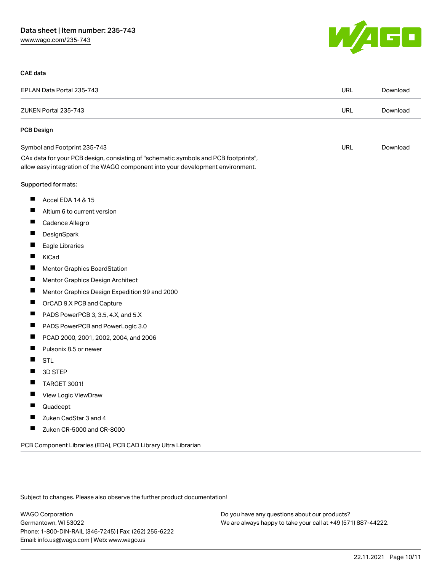

#### CAE data

| EPLAN Data Portal 235-743                                                                                                                                              | <b>URL</b> | Download |
|------------------------------------------------------------------------------------------------------------------------------------------------------------------------|------------|----------|
| ZUKEN Portal 235-743                                                                                                                                                   | <b>URL</b> | Download |
| PCB Design                                                                                                                                                             |            |          |
| Symbol and Footprint 235-743                                                                                                                                           | <b>URL</b> | Download |
| CAx data for your PCB design, consisting of "schematic symbols and PCB footprints",<br>allow easy integration of the WAGO component into your development environment. |            |          |
| Supported formats:                                                                                                                                                     |            |          |
| ш<br>Accel EDA 14 & 15                                                                                                                                                 |            |          |
| Ш<br>Altium 6 to current version                                                                                                                                       |            |          |
| Cadence Allegro                                                                                                                                                        |            |          |
| ш<br>DesignSpark                                                                                                                                                       |            |          |
| Eagle Libraries                                                                                                                                                        |            |          |
| H<br>KiCad                                                                                                                                                             |            |          |
| <b>Mentor Graphics BoardStation</b><br>H                                                                                                                               |            |          |
| Mentor Graphics Design Architect<br>$\blacksquare$                                                                                                                     |            |          |
| ш<br>Mentor Graphics Design Expedition 99 and 2000                                                                                                                     |            |          |
| OrCAD 9.X PCB and Capture                                                                                                                                              |            |          |
| ш<br>PADS PowerPCB 3, 3.5, 4.X, and 5.X                                                                                                                                |            |          |
| ш<br>PADS PowerPCB and PowerLogic 3.0                                                                                                                                  |            |          |
| PCAD 2000, 2001, 2002, 2004, and 2006<br>$\blacksquare$                                                                                                                |            |          |
| ш<br>Pulsonix 8.5 or newer                                                                                                                                             |            |          |
| H<br><b>STL</b>                                                                                                                                                        |            |          |
| H<br>3D STEP                                                                                                                                                           |            |          |
| TARGET 3001!                                                                                                                                                           |            |          |
| Ш<br>View Logic ViewDraw                                                                                                                                               |            |          |
| Ш<br>Quadcept                                                                                                                                                          |            |          |
| Zuken CadStar 3 and 4                                                                                                                                                  |            |          |
| $\blacksquare$<br>Zuken CR-5000 and CR-8000                                                                                                                            |            |          |

PCB Component Libraries (EDA), PCB CAD Library Ultra Librarian

Subject to changes. Please also observe the further product documentation!

WAGO Corporation Germantown, WI 53022 Phone: 1-800-DIN-RAIL (346-7245) | Fax: (262) 255-6222 Email: info.us@wago.com | Web: www.wago.us